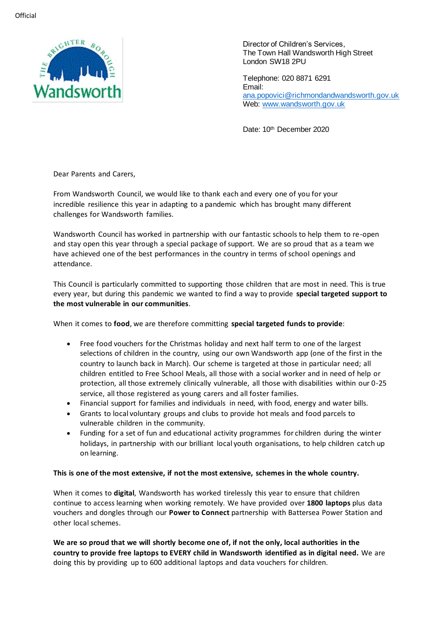

Director of Children's Services, The Town Hall Wandsworth High Street London SW18 2PU

Telephone: 020 8871 6291 Email: [ana.popovici@richmondandwandsworth.gov.uk](mailto:ana.popovici@richmondandwandsworth.gov.uk) Web: [www.wandsworth.gov.uk](http://www.wandsworth.gov.uk/)

Date: 10<sup>th</sup> December 2020

Dear Parents and Carers,

From Wandsworth Council, we would like to thank each and every one of you for your incredible resilience this year in adapting to a pandemic which has brought many different challenges for Wandsworth families.

Wandsworth Council has worked in partnership with our fantastic schools to help them to re-open and stay open this year through a special package of support. We are so proud that as a team we have achieved one of the best performances in the country in terms of school openings and attendance.

This Council is particularly committed to supporting those children that are most in need. This is true every year, but during this pandemic we wanted to find a way to provide **special targeted support to the most vulnerable in our communities**.

When it comes to **food**, we are therefore committing **special targeted funds to provide**:

- Free food vouchers for the Christmas holiday and next half term to one of the largest selections of children in the country, using our own Wandsworth app (one of the first in the country to launch back in March). Our scheme is targeted at those in particular need; all children entitled to Free School Meals, all those with a social worker and in need of help or protection, all those extremely clinically vulnerable, all those with disabilities within our 0-25 service, all those registered as young carers and all foster families.
- Financial support for families and individuals in need, with food, energy and water bills.
- Grants to local voluntary groups and clubs to provide hot meals and food parcels to vulnerable children in the community.
- Funding for a set of fun and educational activity programmes for children during the winter holidays, in partnership with our brilliant local youth organisations, to help children catch up on learning.

## **This is one of the most extensive, if not the most extensive, schemes in the whole country.**

When it comes to **digital**, Wandsworth has worked tirelessly this year to ensure that children continue to access learning when working remotely. We have provided over **1800 laptops** plus data vouchers and dongles through our **Power to Connect** partnership with Battersea Power Station and other local schemes.

**We are so proud that we will shortly become one of, if not the only, local authorities in the country to provide free laptops to EVERY child in Wandsworth identified as in digital need.** We are doing this by providing up to 600 additional laptops and data vouchers for children.